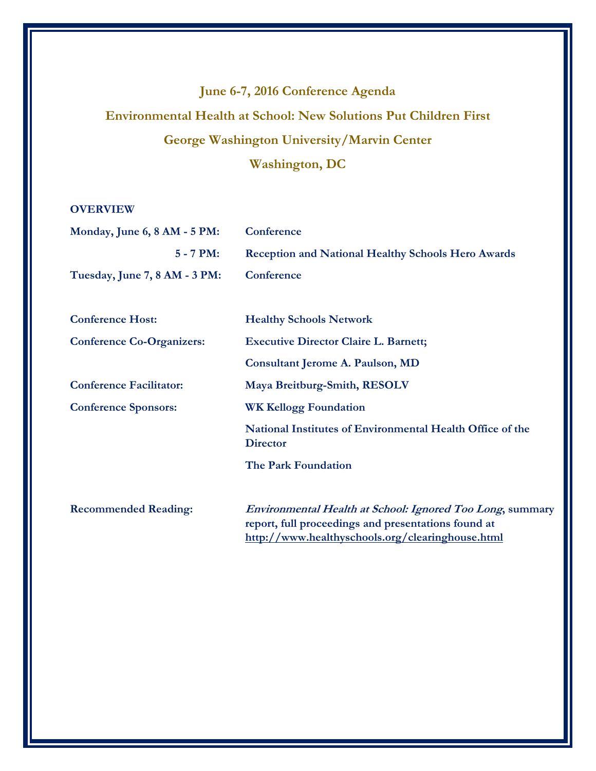# **June 6-7, 2016 Conference Agenda Environmental Health at School: New Solutions Put Children First George Washington University/Marvin Center Washington, DC**

# **OVERVIEW**

| Monday, June 6, 8 AM - 5 PM:     | Conference                                                                   |
|----------------------------------|------------------------------------------------------------------------------|
| $5 - 7 PM:$                      | <b>Reception and National Healthy Schools Hero Awards</b>                    |
| Tuesday, June 7, 8 AM - 3 PM:    | Conference                                                                   |
|                                  |                                                                              |
| <b>Conference Host:</b>          | <b>Healthy Schools Network</b>                                               |
| <b>Conference Co-Organizers:</b> | <b>Executive Director Claire L. Barnett;</b>                                 |
|                                  | Consultant Jerome A. Paulson, MD                                             |
| <b>Conference Facilitator:</b>   | Maya Breitburg-Smith, RESOLV                                                 |
| <b>Conference Sponsors:</b>      | <b>WK Kellogg Foundation</b>                                                 |
|                                  | National Institutes of Environmental Health Office of the<br><b>Director</b> |
|                                  | <b>The Park Foundation</b>                                                   |
|                                  |                                                                              |
| <b>Recommended Reading:</b>      | <i>Environmental Health at School: Ignored Too Long, summary</i>             |
|                                  | report, full proceedings and presentations found at                          |
|                                  | http://www.healthyschools.org/clearinghouse.html                             |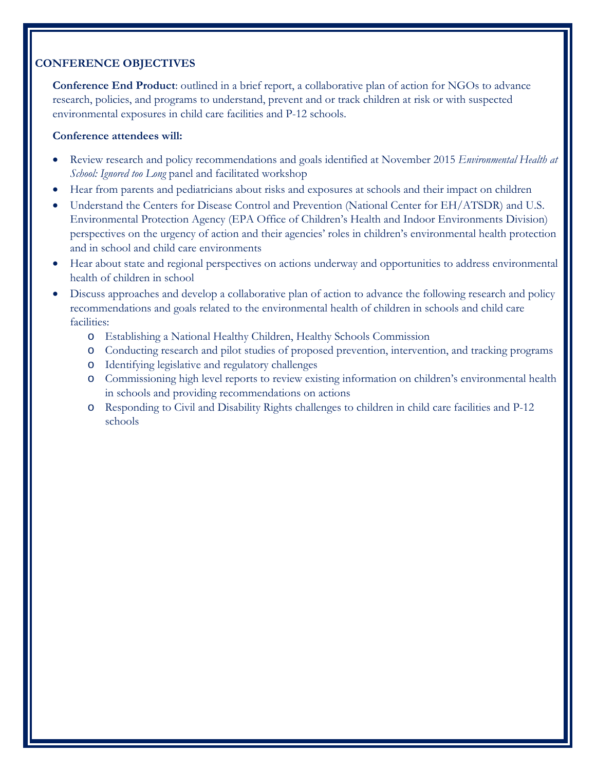# **CONFERENCE OBJECTIVES**

**Conference End Product**: outlined in a brief report, a collaborative plan of action for NGOs to advance research, policies, and programs to understand, prevent and or track children at risk or with suspected environmental exposures in child care facilities and P-12 schools.

# **Conference attendees will:**

- Review research and policy recommendations and goals identified at November 2015 *Environmental Health at School: Ignored too Long* panel and facilitated workshop
- Hear from parents and pediatricians about risks and exposures at schools and their impact on children
- Understand the Centers for Disease Control and Prevention (National Center for EH/ATSDR) and U.S. Environmental Protection Agency (EPA Office of Children's Health and Indoor Environments Division) perspectives on the urgency of action and their agencies' roles in children's environmental health protection and in school and child care environments
- Hear about state and regional perspectives on actions underway and opportunities to address environmental health of children in school
- Discuss approaches and develop a collaborative plan of action to advance the following research and policy recommendations and goals related to the environmental health of children in schools and child care facilities:
	- o Establishing a National Healthy Children, Healthy Schools Commission
	- o Conducting research and pilot studies of proposed prevention, intervention, and tracking programs
	- o Identifying legislative and regulatory challenges
	- o Commissioning high level reports to review existing information on children's environmental health in schools and providing recommendations on actions
	- o Responding to Civil and Disability Rights challenges to children in child care facilities and P-12 schools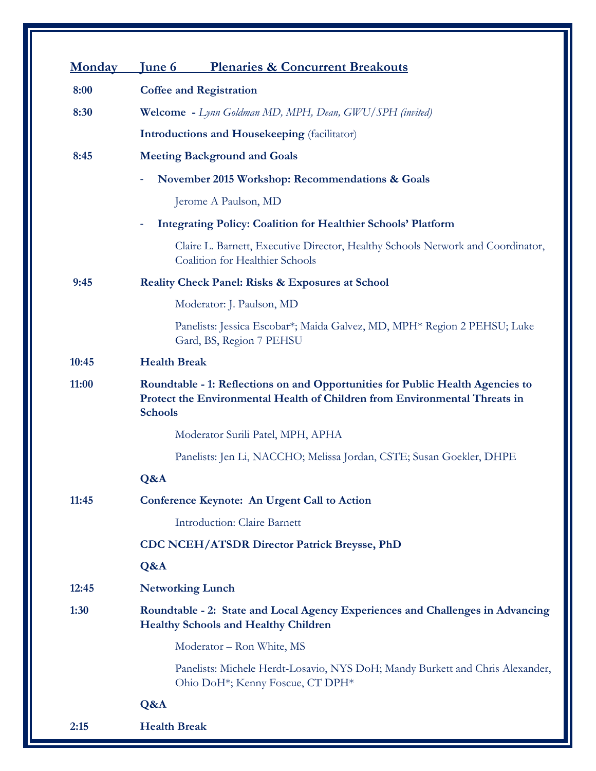| <b>Monday</b> | <b>Plenaries &amp; Concurrent Breakouts</b><br><b>June 6</b>                                                                                                                   |
|---------------|--------------------------------------------------------------------------------------------------------------------------------------------------------------------------------|
| 8:00          | <b>Coffee and Registration</b>                                                                                                                                                 |
| 8:30          | Welcome - Lynn Goldman MD, MPH, Dean, GWU/SPH (invited)                                                                                                                        |
|               | <b>Introductions and Housekeeping</b> (facilitator)                                                                                                                            |
| 8:45          | <b>Meeting Background and Goals</b>                                                                                                                                            |
|               | November 2015 Workshop: Recommendations & Goals                                                                                                                                |
|               | Jerome A Paulson, MD                                                                                                                                                           |
|               | <b>Integrating Policy: Coalition for Healthier Schools' Platform</b>                                                                                                           |
|               | Claire L. Barnett, Executive Director, Healthy Schools Network and Coordinator,<br>Coalition for Healthier Schools                                                             |
| 9:45          | <b>Reality Check Panel: Risks &amp; Exposures at School</b>                                                                                                                    |
|               | Moderator: J. Paulson, MD                                                                                                                                                      |
|               | Panelists: Jessica Escobar*; Maida Galvez, MD, MPH* Region 2 PEHSU; Luke<br>Gard, BS, Region 7 PEHSU                                                                           |
| 10:45         | <b>Health Break</b>                                                                                                                                                            |
| 11:00         | Roundtable - 1: Reflections on and Opportunities for Public Health Agencies to<br>Protect the Environmental Health of Children from Environmental Threats in<br><b>Schools</b> |
|               | Moderator Surili Patel, MPH, APHA                                                                                                                                              |
|               | Panelists: Jen Li, NACCHO; Melissa Jordan, CSTE; Susan Goekler, DHPE                                                                                                           |
|               | Q&A                                                                                                                                                                            |
| 11:45         | <b>Conference Keynote: An Urgent Call to Action</b>                                                                                                                            |
|               | <b>Introduction: Claire Barnett</b>                                                                                                                                            |
|               | <b>CDC NCEH/ATSDR Director Patrick Breysse, PhD</b>                                                                                                                            |
|               | Q&A                                                                                                                                                                            |
| 12:45         | <b>Networking Lunch</b>                                                                                                                                                        |
| 1:30          | Roundtable - 2: State and Local Agency Experiences and Challenges in Advancing<br><b>Healthy Schools and Healthy Children</b>                                                  |
|               | Moderator - Ron White, MS                                                                                                                                                      |
|               | Panelists: Michele Herdt-Losavio, NYS DoH; Mandy Burkett and Chris Alexander,<br>Ohio DoH <sup>*</sup> ; Kenny Foscue, CT DPH <sup>*</sup>                                     |
|               | Q&A                                                                                                                                                                            |
| 2:15          | <b>Health Break</b>                                                                                                                                                            |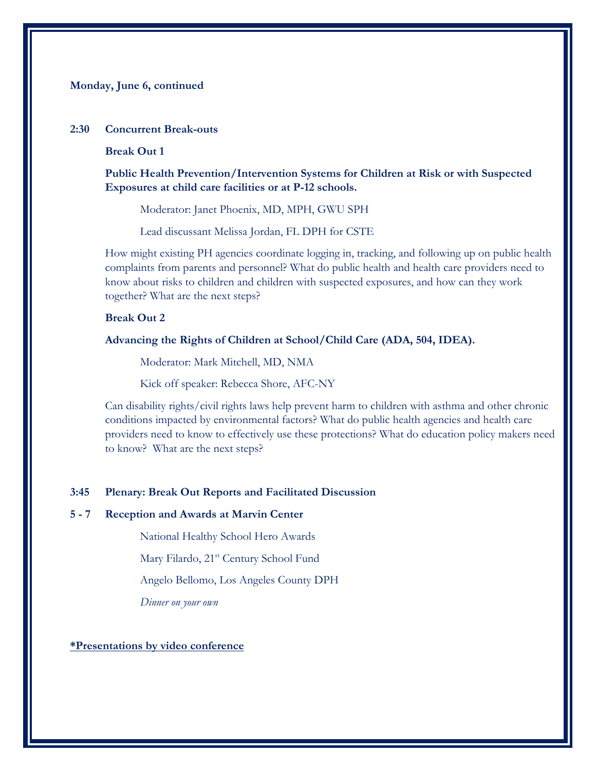# **Monday, June 6, continued**

#### **2:30 Concurrent Break-outs**

#### **Break Out 1**

**Public Health Prevention/Intervention Systems for Children at Risk or with Suspected Exposures at child care facilities or at P-12 schools.** 

Moderator: Janet Phoenix, MD, MPH, GWU SPH

Lead discussant Melissa Jordan, FL DPH for CSTE

How might existing PH agencies coordinate logging in, tracking, and following up on public health complaints from parents and personnel? What do public health and health care providers need to know about risks to children and children with suspected exposures, and how can they work together? What are the next steps?

# **Break Out 2**

**Advancing the Rights of Children at School/Child Care (ADA, 504, IDEA).** 

Moderator: Mark Mitchell, MD, NMA

Kick off speaker: Rebecca Shore, AFC-NY

Can disability rights/civil rights laws help prevent harm to children with asthma and other chronic conditions impacted by environmental factors? What do public health agencies and health care providers need to know to effectively use these protections? What do education policy makers need to know? What are the next steps?

#### **3:45 Plenary: Break Out Reports and Facilitated Discussion**

#### **5 - 7 Reception and Awards at Marvin Center**

National Healthy School Hero Awards

Mary Filardo, 21<sup>st</sup> Century School Fund

Angelo Bellomo, Los Angeles County DPH

*Dinner on your own*

#### **\*Presentations by video conference**